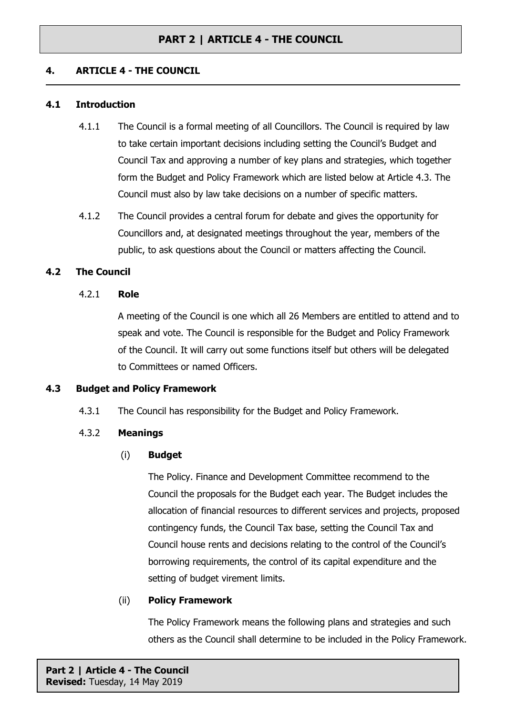## **PART 2 | ARTICLE 4 - THE COUNCIL**

## **4. ARTICLE 4 - THE COUNCIL**

#### **4.1 Introduction**

- 4.1.1 The Council is a formal meeting of all Councillors. The Council is required by law to take certain important decisions including setting the Council's Budget and Council Tax and approving a number of key plans and strategies, which together form the Budget and Policy Framework which are listed below at Article 4.3. The Council must also by law take decisions on a number of specific matters.
- 4.1.2 The Council provides a central forum for debate and gives the opportunity for Councillors and, at designated meetings throughout the year, members of the public, to ask questions about the Council or matters affecting the Council.

#### **4.2 The Council**

#### 4.2.1 **Role**

A meeting of the Council is one which all 26 Members are entitled to attend and to speak and vote. The Council is responsible for the Budget and Policy Framework of the Council. It will carry out some functions itself but others will be delegated to Committees or named Officers.

## **4.3 Budget and Policy Framework**

4.3.1 The Council has responsibility for the Budget and Policy Framework.

## 4.3.2 **Meanings**

#### (i) **Budget**

The Policy. Finance and Development Committee recommend to the Council the proposals for the Budget each year. The Budget includes the allocation of financial resources to different services and projects, proposed contingency funds, the Council Tax base, setting the Council Tax and Council house rents and decisions relating to the control of the Council's borrowing requirements, the control of its capital expenditure and the setting of budget virement limits.

#### (ii) **Policy Framework**

The Policy Framework means the following plans and strategies and such others as the Council shall determine to be included in the Policy Framework.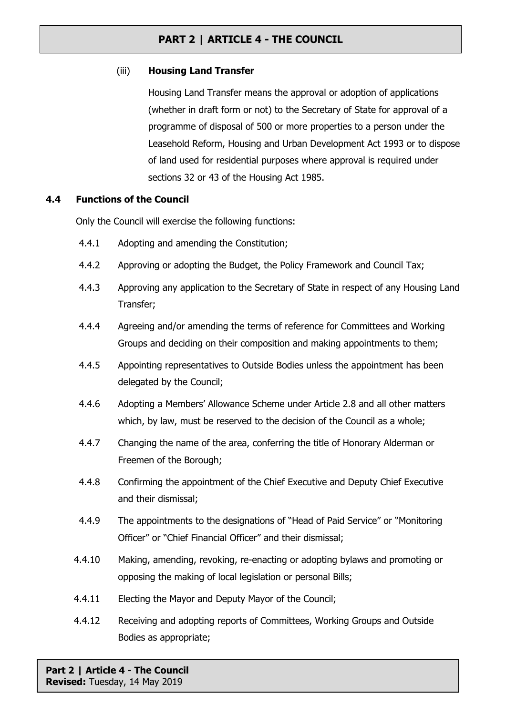# **PART 2 | ARTICLE 4 - THE COUNCIL**

## (iii) **Housing Land Transfer**

Housing Land Transfer means the approval or adoption of applications (whether in draft form or not) to the Secretary of State for approval of a programme of disposal of 500 or more properties to a person under the Leasehold Reform, Housing and Urban Development Act 1993 or to dispose of land used for residential purposes where approval is required under sections 32 or 43 of the Housing Act 1985.

## **4.4 Functions of the Council**

Only the Council will exercise the following functions:

- 4.4.1 Adopting and amending the Constitution;
- 4.4.2 Approving or adopting the Budget, the Policy Framework and Council Tax;
- 4.4.3 Approving any application to the Secretary of State in respect of any Housing Land Transfer;
- 4.4.4 Agreeing and/or amending the terms of reference for Committees and Working Groups and deciding on their composition and making appointments to them;
- 4.4.5 Appointing representatives to Outside Bodies unless the appointment has been delegated by the Council;
- 4.4.6 Adopting a Members' Allowance Scheme under Article 2.8 and all other matters which, by law, must be reserved to the decision of the Council as a whole;
- 4.4.7 Changing the name of the area, conferring the title of Honorary Alderman or Freemen of the Borough;
- 4.4.8 Confirming the appointment of the Chief Executive and Deputy Chief Executive and their dismissal;
- 4.4.9 The appointments to the designations of "Head of Paid Service" or "Monitoring Officer" or "Chief Financial Officer" and their dismissal;
- 4.4.10 Making, amending, revoking, re-enacting or adopting bylaws and promoting or opposing the making of local legislation or personal Bills;
- 4.4.11 Electing the Mayor and Deputy Mayor of the Council;
- 4.4.12 Receiving and adopting reports of Committees, Working Groups and Outside Bodies as appropriate;

**Part 2 | Article 4 - The Council Revised:** Tuesday, 14 May 2019